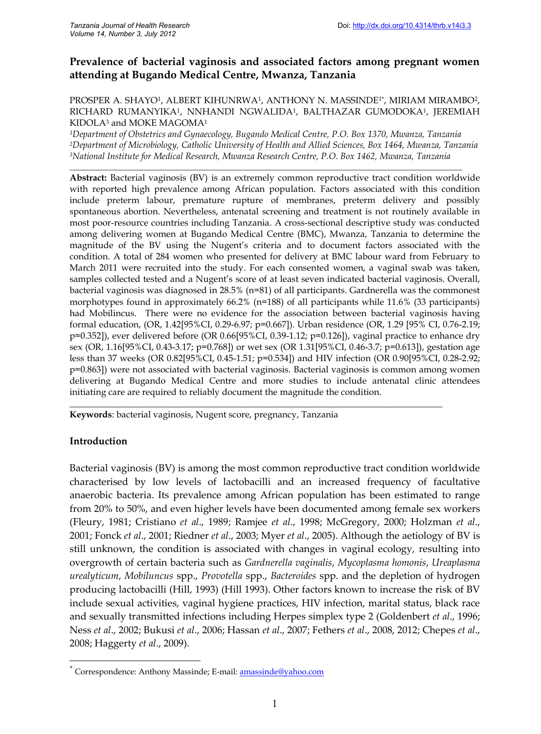# **Prevalence of bacterial vaginosis and associated factors among pregnant women attending at Bugando Medical Centre, Mwanza, Tanzania**

PROSPER A. SHAYO½ ALBERT KIHUNRWA½ ANTHONY N. MASSINDE1\*, MIRIAM MIRAMBO2, RICHARD RUMANYIKA<sup>1</sup>, NNHANDI NGWALIDA<sup>1</sup>, BALTHAZAR GUMODOKA<sup>1</sup>, JEREMIAH KIDOLA<sup>3</sup> and MOKE MAGOMA<sup>1</sup>

*<sup>1</sup>Department of Obstetrics and Gynaecology, Bugando Medical Centre, P.O. Box 1370, Mwanza, Tanzania <sup>2</sup>Department of Microbiology, Catholic University of Health and Allied Sciences, Box 1464, Mwanza, Tanzania <sup>3</sup>National Institute for Medical Research, Mwanza Research Centre, P.O. Box 1462, Mwanza, Tanzania*

\_\_\_\_\_\_\_\_\_\_\_\_\_\_\_\_\_\_\_\_\_\_\_\_\_\_\_\_\_\_\_\_\_\_\_\_\_\_\_\_\_\_\_\_\_\_\_\_\_\_\_\_\_\_\_\_\_\_\_\_\_\_\_\_\_\_\_\_\_\_\_\_\_\_\_\_\_\_\_\_\_\_\_\_\_\_\_\_\_\_\_\_\_\_\_\_ **Abstract:** Bacterial vaginosis (BV) is an extremely common reproductive tract condition worldwide with reported high prevalence among African population. Factors associated with this condition include preterm labour, premature rupture of membranes, preterm delivery and possibly spontaneous abortion. Nevertheless, antenatal screening and treatment is not routinely available in most poor-resource countries including Tanzania. A cross-sectional descriptive study was conducted among delivering women at Bugando Medical Centre (BMC), Mwanza, Tanzania to determine the magnitude of the BV using the Nugent's criteria and to document factors associated with the condition. A total of 284 women who presented for delivery at BMC labour ward from February to March 2011 were recruited into the study. For each consented women, a vaginal swab was taken, samples collected tested and a Nugent's score of at least seven indicated bacterial vaginosis. Overall, bacterial vaginosis was diagnosed in 28.5% (n=81) of all participants. Gardnerella was the commonest morphotypes found in approximately 66.2% (n=188) of all participants while 11.6% (33 participants) had Mobilincus. There were no evidence for the association between bacterial vaginosis having formal education, (OR, 1.42[95%CI, 0.29-6.97; p=0.667]). Urban residence (OR, 1.29 [95% CI, 0.76-2.19; p=0.352]), ever delivered before (OR 0.66[95%CI, 0.39-1.12; p=0.126]), vaginal practice to enhance dry sex (OR, 1.16[95%CI, 0.43-3.17; p=0.768]) or wet sex (OR 1.31[95%CI, 0.46-3.7; p=0.613]), gestation age less than 37 weeks (OR 0.82[95%CI, 0.45-1.51; p=0.534]) and HIV infection (OR 0.90[95%CI, 0.28-2.92; p=0.863]) were not associated with bacterial vaginosis. Bacterial vaginosis is common among women delivering at Bugando Medical Centre and more studies to include antenatal clinic attendees initiating care are required to reliably document the magnitude the condition.

\_\_\_\_\_\_\_\_\_\_\_\_\_\_\_\_\_\_\_\_\_\_\_\_\_\_\_\_\_\_\_\_\_\_\_\_\_\_\_\_\_\_\_\_\_\_\_\_\_\_\_\_\_\_\_\_\_\_\_\_\_\_\_\_\_\_\_\_\_\_\_\_\_\_\_\_\_\_\_\_\_\_

**Keywords**: bacterial vaginosis, Nugent score, pregnancy, Tanzania

# **Introduction**

Bacterial vaginosis (BV) is among the most common reproductive tract condition worldwide characterised by low levels of lactobacilli and an increased frequency of facultative anaerobic bacteria. Its prevalence among African population has been estimated to range from 20% to 50%, and even higher levels have been documented among female sex workers (Fleury, 1981; Cristiano *et al*., 1989; Ramjee *et al*., 1998; McGregory, 2000; Holzman *et al*., 2001; Fonck *et al*., 2001; Riedner *et al*., 2003; Myer *et al*., 2005). Although the aetiology of BV is still unknown, the condition is associated with changes in vaginal ecology, resulting into overgrowth of certain bacteria such as *Gardnerella vaginalis*, *Mycoplasma homonis*, *Ureaplasma urealyticum*, *Mobiluncus* spp., *Provotella* spp., *Bacteroides* spp. and the depletion of hydrogen producing lactobacilli (Hill, 1993) (Hill 1993). Other factors known to increase the risk of BV include sexual activities, vaginal hygiene practices, HIV infection, marital status, black race and sexually transmitted infections including Herpes simplex type 2 (Goldenbert *et al*., 1996; Ness *et al*., 2002; Bukusi *et al*., 2006; Hassan *et al*., 2007; Fethers *et al*., 2008, 2012; Chepes *et al*., 2008; Haggerty *et al*., 2009).

Correspondence: Anthony Massinde; E-mail: amassinde@yahoo.com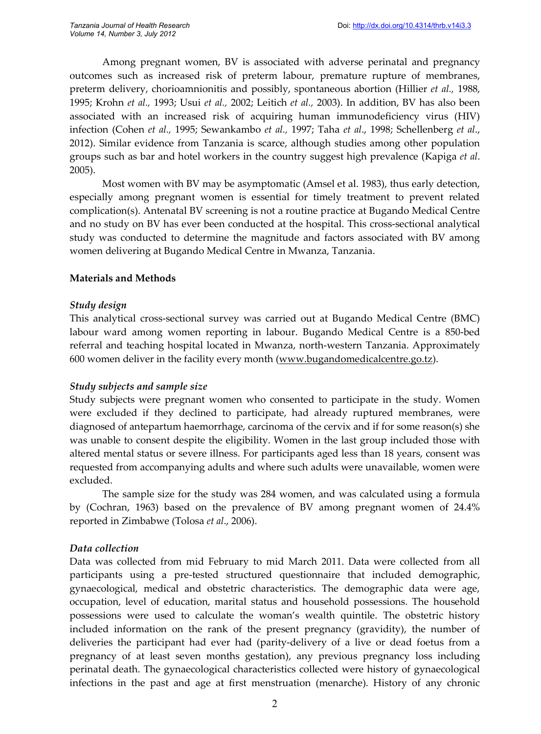Among pregnant women, BV is associated with adverse perinatal and pregnancy outcomes such as increased risk of preterm labour, premature rupture of membranes, preterm delivery, chorioamnionitis and possibly, spontaneous abortion (Hillier *et al.,* 1988, 1995; Krohn *et al.,* 1993; Usui *et al.,* 2002; Leitich *et al.,* 2003). In addition, BV has also been associated with an increased risk of acquiring human immunodeficiency virus (HIV) infection (Cohen *et al.,* 1995; Sewankambo *et al.,* 1997; Taha *et al*., 1998; Schellenberg *et al*., 2012). Similar evidence from Tanzania is scarce, although studies among other population groups such as bar and hotel workers in the country suggest high prevalence (Kapiga *et al*. 2005).

Most women with BV may be asymptomatic (Amsel et al. 1983), thus early detection, especially among pregnant women is essential for timely treatment to prevent related complication(s). Antenatal BV screening is not a routine practice at Bugando Medical Centre and no study on BV has ever been conducted at the hospital. This cross-sectional analytical study was conducted to determine the magnitude and factors associated with BV among women delivering at Bugando Medical Centre in Mwanza, Tanzania.

#### **Materials and Methods**

#### *Study design*

This analytical cross-sectional survey was carried out at Bugando Medical Centre (BMC) labour ward among women reporting in labour. Bugando Medical Centre is a 850-bed referral and teaching hospital located in Mwanza, north-western Tanzania. Approximately 600 women deliver in the facility every month (www.bugandomedicalcentre.go.tz).

#### *Study subjects and sample size*

Study subjects were pregnant women who consented to participate in the study. Women were excluded if they declined to participate, had already ruptured membranes, were diagnosed of antepartum haemorrhage, carcinoma of the cervix and if for some reason(s) she was unable to consent despite the eligibility. Women in the last group included those with altered mental status or severe illness. For participants aged less than 18 years, consent was requested from accompanying adults and where such adults were unavailable, women were excluded.

The sample size for the study was 284 women, and was calculated using a formula by (Cochran, 1963) based on the prevalence of BV among pregnant women of 24.4% reported in Zimbabwe (Tolosa *et al*., 2006).

#### *Data collection*

Data was collected from mid February to mid March 2011. Data were collected from all participants using a pre-tested structured questionnaire that included demographic, gynaecological, medical and obstetric characteristics. The demographic data were age, occupation, level of education, marital status and household possessions. The household possessions were used to calculate the woman's wealth quintile. The obstetric history included information on the rank of the present pregnancy (gravidity), the number of deliveries the participant had ever had (parity-delivery of a live or dead foetus from a pregnancy of at least seven months gestation), any previous pregnancy loss including perinatal death. The gynaecological characteristics collected were history of gynaecological infections in the past and age at first menstruation (menarche). History of any chronic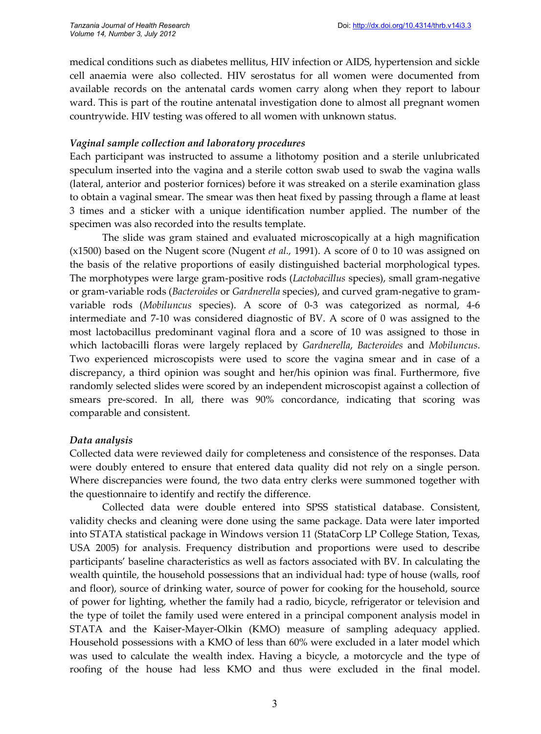medical conditions such as diabetes mellitus, HIV infection or AIDS, hypertension and sickle cell anaemia were also collected. HIV serostatus for all women were documented from available records on the antenatal cards women carry along when they report to labour ward. This is part of the routine antenatal investigation done to almost all pregnant women countrywide. HIV testing was offered to all women with unknown status.

#### *Vaginal sample collection and laboratory procedures*

Each participant was instructed to assume a lithotomy position and a sterile unlubricated speculum inserted into the vagina and a sterile cotton swab used to swab the vagina walls (lateral, anterior and posterior fornices) before it was streaked on a sterile examination glass to obtain a vaginal smear. The smear was then heat fixed by passing through a flame at least 3 times and a sticker with a unique identification number applied. The number of the specimen was also recorded into the results template.

The slide was gram stained and evaluated microscopically at a high magnification (x1500) based on the Nugent score (Nugent *et al.,* 1991). A score of 0 to 10 was assigned on the basis of the relative proportions of easily distinguished bacterial morphological types. The morphotypes were large gram-positive rods (*Lactobacillus* species), small gram-negative or gram-variable rods (*Bacteroides* or *Gardnerella* species), and curved gram-negative to gramvariable rods (*Mobiluncus* species). A score of 0-3 was categorized as normal, 4-6 intermediate and 7-10 was considered diagnostic of BV. A score of 0 was assigned to the most lactobacillus predominant vaginal flora and a score of 10 was assigned to those in which lactobacilli floras were largely replaced by *Gardnerella*, *Bacteroides* and *Mobiluncus*. Two experienced microscopists were used to score the vagina smear and in case of a discrepancy, a third opinion was sought and her/his opinion was final. Furthermore, five randomly selected slides were scored by an independent microscopist against a collection of smears pre-scored. In all, there was 90% concordance, indicating that scoring was comparable and consistent.

# *Data analysis*

Collected data were reviewed daily for completeness and consistence of the responses. Data were doubly entered to ensure that entered data quality did not rely on a single person. Where discrepancies were found, the two data entry clerks were summoned together with the questionnaire to identify and rectify the difference.

Collected data were double entered into SPSS statistical database. Consistent, validity checks and cleaning were done using the same package. Data were later imported into STATA statistical package in Windows version 11 (StataCorp LP College Station, Texas, USA 2005) for analysis. Frequency distribution and proportions were used to describe participants' baseline characteristics as well as factors associated with BV. In calculating the wealth quintile, the household possessions that an individual had: type of house (walls, roof and floor), source of drinking water, source of power for cooking for the household, source of power for lighting, whether the family had a radio, bicycle, refrigerator or television and the type of toilet the family used were entered in a principal component analysis model in STATA and the Kaiser-Mayer-Olkin (KMO) measure of sampling adequacy applied. Household possessions with a KMO of less than 60% were excluded in a later model which was used to calculate the wealth index. Having a bicycle, a motorcycle and the type of roofing of the house had less KMO and thus were excluded in the final model.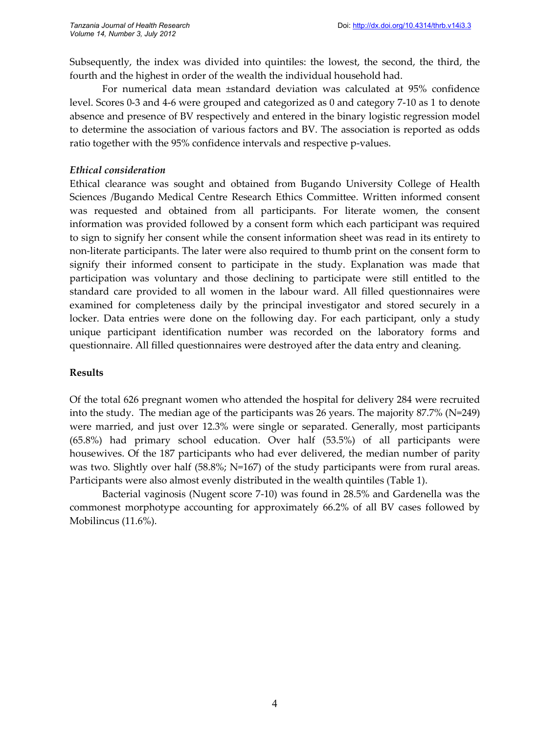Subsequently, the index was divided into quintiles: the lowest, the second, the third, the fourth and the highest in order of the wealth the individual household had.

For numerical data mean ±standard deviation was calculated at 95% confidence level. Scores 0-3 and 4-6 were grouped and categorized as 0 and category 7-10 as 1 to denote absence and presence of BV respectively and entered in the binary logistic regression model to determine the association of various factors and BV. The association is reported as odds ratio together with the 95% confidence intervals and respective p-values.

# *Ethical consideration*

Ethical clearance was sought and obtained from Bugando University College of Health Sciences /Bugando Medical Centre Research Ethics Committee. Written informed consent was requested and obtained from all participants. For literate women, the consent information was provided followed by a consent form which each participant was required to sign to signify her consent while the consent information sheet was read in its entirety to non-literate participants. The later were also required to thumb print on the consent form to signify their informed consent to participate in the study. Explanation was made that participation was voluntary and those declining to participate were still entitled to the standard care provided to all women in the labour ward. All filled questionnaires were examined for completeness daily by the principal investigator and stored securely in a locker. Data entries were done on the following day. For each participant, only a study unique participant identification number was recorded on the laboratory forms and questionnaire. All filled questionnaires were destroyed after the data entry and cleaning.

# **Results**

Of the total 626 pregnant women who attended the hospital for delivery 284 were recruited into the study. The median age of the participants was 26 years. The majority 87.7% (N=249) were married, and just over 12.3% were single or separated. Generally, most participants (65.8%) had primary school education. Over half (53.5%) of all participants were housewives. Of the 187 participants who had ever delivered, the median number of parity was two. Slightly over half (58.8%; N=167) of the study participants were from rural areas. Participants were also almost evenly distributed in the wealth quintiles (Table 1).

Bacterial vaginosis (Nugent score 7-10) was found in 28.5% and Gardenella was the commonest morphotype accounting for approximately 66.2% of all BV cases followed by Mobilincus (11.6%).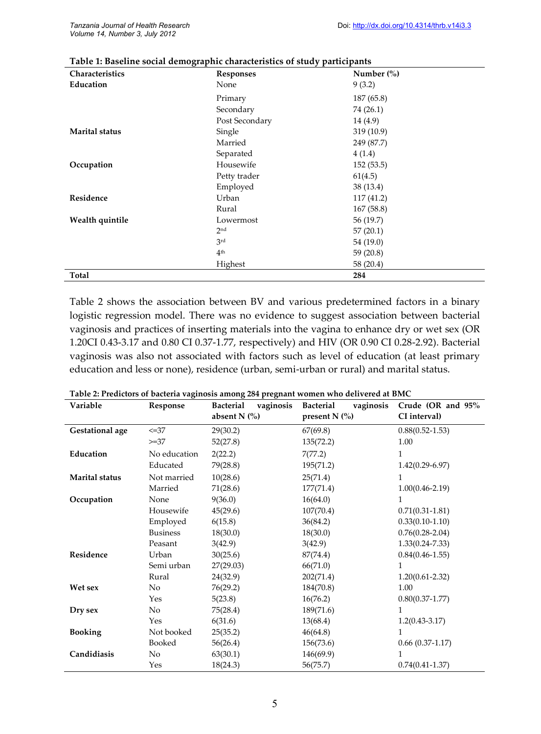| Characteristics       | <b>Responses</b> | Number $\frac{6}{6}$ |
|-----------------------|------------------|----------------------|
| Education             | None             | 9(3.2)               |
|                       | Primary          | 187 (65.8)           |
|                       | Secondary        | 74 (26.1)            |
|                       | Post Secondary   | 14 (4.9)             |
| <b>Marital status</b> | Single           | 319 (10.9)           |
|                       | Married          | 249 (87.7)           |
|                       | Separated        | 4(1.4)               |
| Occupation            | Housewife        | 152(53.5)            |
|                       | Petty trader     | 61(4.5)              |
|                       | Employed         | 38 (13.4)            |
| Residence             | Urban            | 117 (41.2)           |
|                       | Rural            | 167 (58.8)           |
| Wealth quintile       | Lowermost        | 56 (19.7)            |
|                       | 2nd              | 57(20.1)             |
|                       | 3rd              | 54 (19.0)            |
|                       | 4 <sup>th</sup>  | 59 (20.8)            |
|                       | Highest          | 58 (20.4)            |
| Total                 |                  | 284                  |

#### **Table 1: Baseline social demographic characteristics of study participants**

Table 2 shows the association between BV and various predetermined factors in a binary logistic regression model. There was no evidence to suggest association between bacterial vaginosis and practices of inserting materials into the vagina to enhance dry or wet sex (OR 1.20CI 0.43-3.17 and 0.80 CI 0.37-1.77, respectively) and HIV (OR 0.90 CI 0.28-2.92). Bacterial vaginosis was also not associated with factors such as level of education (at least primary education and less or none), residence (urban, semi-urban or rural) and marital status.

| Variable              | Response        | <b>Bacterial</b><br>vaginosis | vaginosis<br><b>Bacterial</b> | Crude (OR and 95%   |
|-----------------------|-----------------|-------------------------------|-------------------------------|---------------------|
|                       |                 | absent $N$ (%)                | present $N$ (%)               | CI interval)        |
| Gestational age       | $\leq 37$       | 29(30.2)                      | 67(69.8)                      | $0.88(0.52 - 1.53)$ |
|                       | $>=37$          | 52(27.8)                      | 135(72.2)                     | 1.00                |
| Education             | No education    | 2(22.2)                       | 7(77.2)                       | 1                   |
|                       | Educated        | 79(28.8)                      | 195(71.2)                     | $1.42(0.29-6.97)$   |
| <b>Marital status</b> | Not married     | 10(28.6)                      | 25(71.4)                      | 1                   |
|                       | Married         | 71(28.6)                      | 177(71.4)                     | $1.00(0.46 - 2.19)$ |
| Occupation            | None            | 9(36.0)                       | 16(64.0)                      | 1                   |
|                       | Housewife       | 45(29.6)                      | 107(70.4)                     | $0.71(0.31 - 1.81)$ |
|                       | Employed        | 6(15.8)                       | 36(84.2)                      | $0.33(0.10-1.10)$   |
|                       | <b>Business</b> | 18(30.0)                      | 18(30.0)                      | $0.76(0.28-2.04)$   |
|                       | Peasant         | 3(42.9)                       | 3(42.9)                       | $1.33(0.24 - 7.33)$ |
| Residence             | Urban           | 30(25.6)                      | 87(74.4)                      | $0.84(0.46-1.55)$   |
|                       | Semi urban      | 27(29.03)                     | 66(71.0)                      | 1                   |
|                       | Rural           | 24(32.9)                      | 202(71.4)                     | $1.20(0.61 - 2.32)$ |
| Wet sex               | No              | 76(29.2)                      | 184(70.8)                     | 1.00                |
|                       | Yes             | 5(23.8)                       | 16(76.2)                      | $0.80(0.37 - 1.77)$ |
| Dry sex               | No              | 75(28.4)                      | 189(71.6)                     | 1                   |
|                       | Yes             | 6(31.6)                       | 13(68.4)                      | $1.2(0.43 - 3.17)$  |
| <b>Booking</b>        | Not booked      | 25(35.2)                      | 46(64.8)                      | 1                   |
|                       | Booked          | 56(26.4)                      | 156(73.6)                     | $0.66(0.37-1.17)$   |
| Candidiasis           | No              | 63(30.1)                      | 146(69.9)                     | 1                   |
|                       | Yes             | 18(24.3)                      | 56(75.7)                      | $0.74(0.41 - 1.37)$ |

#### **Table 2: Predictors of bacteria vaginosis among 284 pregnant women who delivered at BMC**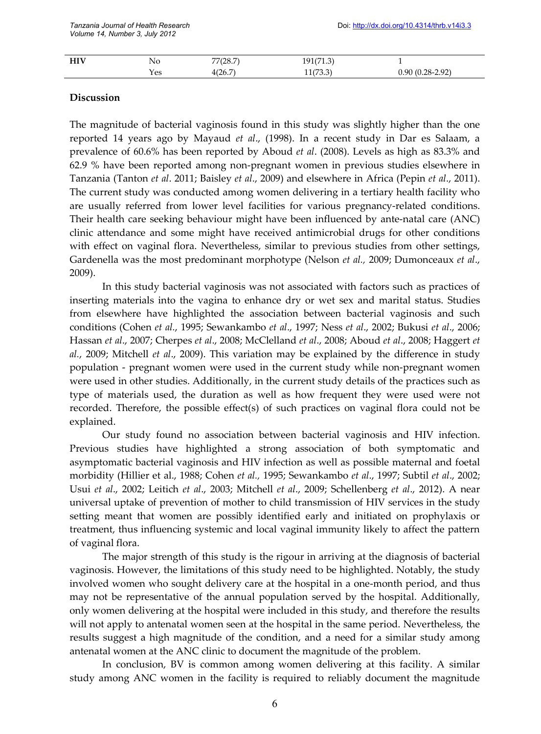| <b>LITV</b><br>пи у | Nο  | 77(28.7) | 191/71 3)<br>191(71.3) |                                                                      |
|---------------------|-----|----------|------------------------|----------------------------------------------------------------------|
|                     | Yes | 4(26.7)  | 11/720<br>11/0.0       | $-2.92$<br><u>` 90 (በ 28-2</u><br>$\mathbf{v}$ . $\mathbf{v}$<br>◡.৴ |

#### **Discussion**

The magnitude of bacterial vaginosis found in this study was slightly higher than the one reported 14 years ago by Mayaud *et al*., (1998). In a recent study in Dar es Salaam, a prevalence of 60.6% has been reported by Aboud *et al*. (2008). Levels as high as 83.3% and 62.9 % have been reported among non-pregnant women in previous studies elsewhere in Tanzania (Tanton *et al*. 2011; Baisley *et al*., 2009) and elsewhere in Africa (Pepin *et al*., 2011). The current study was conducted among women delivering in a tertiary health facility who are usually referred from lower level facilities for various pregnancy-related conditions. Their health care seeking behaviour might have been influenced by ante-natal care (ANC) clinic attendance and some might have received antimicrobial drugs for other conditions with effect on vaginal flora. Nevertheless, similar to previous studies from other settings, Gardenella was the most predominant morphotype (Nelson *et al.,* 2009; Dumonceaux *et al*., 2009).

In this study bacterial vaginosis was not associated with factors such as practices of inserting materials into the vagina to enhance dry or wet sex and marital status. Studies from elsewhere have highlighted the association between bacterial vaginosis and such conditions (Cohen *et al.*, 1995; Sewankambo *et al*., 1997; Ness *et al*., 2002; Bukusi *et al*., 2006; Hassan *et al*., 2007; Cherpes *et al*., 2008; McClelland *et al*., 2008; Aboud *et al*., 2008; Haggert *et al.*, 2009; Mitchell *et al*., 2009). This variation may be explained by the difference in study population - pregnant women were used in the current study while non-pregnant women were used in other studies. Additionally, in the current study details of the practices such as type of materials used, the duration as well as how frequent they were used were not recorded. Therefore, the possible effect(s) of such practices on vaginal flora could not be explained.

Our study found no association between bacterial vaginosis and HIV infection. Previous studies have highlighted a strong association of both symptomatic and asymptomatic bacterial vaginosis and HIV infection as well as possible maternal and foetal morbidity (Hillier et al., 1988; Cohen *et al.,* 1995; Sewankambo *et al*., 1997; Subtil *et al*., 2002; Usui *et al*., 2002; Leitich *et al*., 2003; Mitchell *et al*., 2009; Schellenberg *et al*., 2012). A near universal uptake of prevention of mother to child transmission of HIV services in the study setting meant that women are possibly identified early and initiated on prophylaxis or treatment, thus influencing systemic and local vaginal immunity likely to affect the pattern of vaginal flora.

The major strength of this study is the rigour in arriving at the diagnosis of bacterial vaginosis. However, the limitations of this study need to be highlighted. Notably, the study involved women who sought delivery care at the hospital in a one-month period, and thus may not be representative of the annual population served by the hospital. Additionally, only women delivering at the hospital were included in this study, and therefore the results will not apply to antenatal women seen at the hospital in the same period. Nevertheless, the results suggest a high magnitude of the condition, and a need for a similar study among antenatal women at the ANC clinic to document the magnitude of the problem.

In conclusion, BV is common among women delivering at this facility. A similar study among ANC women in the facility is required to reliably document the magnitude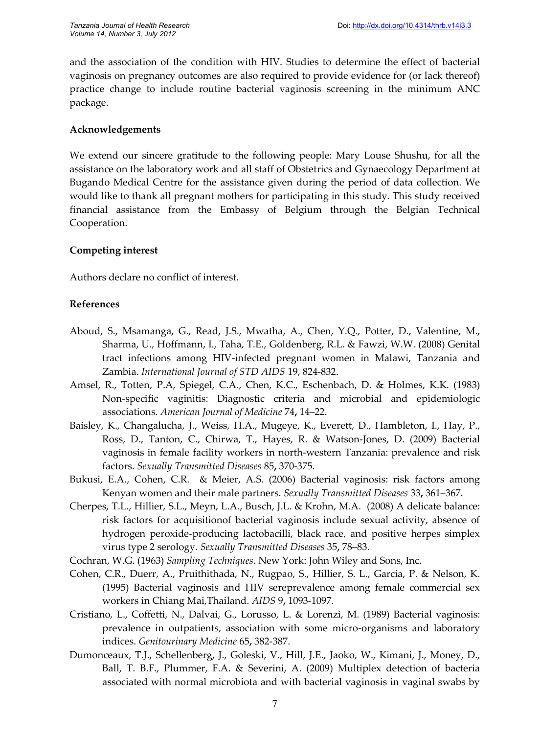and the association of the condition with HIV. Studies to determine the effect of bacterial vaginosis on pregnancy outcomes are also required to provide evidence for (or lack thereof) practice change to include routine bacterial vaginosis screening in the minimum ANC package.

# **Acknowledgements**

We extend our sincere gratitude to the following people: Mary Louse Shushu, for all the assistance on the laboratory work and all staff of Obstetrics and Gynaecology Department at Bugando Medical Centre for the assistance given during the period of data collection. We would like to thank all pregnant mothers for participating in this study. This study received financial assistance from the Embassy of Belgium through the Belgian Technical Cooperation.

## **Competing interest**

Authors declare no conflict of interest.

## **References**

- Aboud, S., Msamanga, G., Read, J.S., Mwatha, A., Chen, Y.Q., Potter, D., Valentine, M., Sharma, U., Hoffmann, I., Taha, T.E., Goldenberg, R.L. & Fawzi, W.W. (2008) Genital tract infections among HIV-infected pregnant women in Malawi, Tanzania and Zambia. *International Journal of STD AIDS* 19, 824-832.
- Amsel, R., Totten, P.A, Spiegel, C.A., Chen, K.C., Eschenbach, D. & Holmes, K.K. (1983) Non-specific vaginitis: Diagnostic criteria and microbial and epidemiologic associations. *American Journal of Medicine* 74**,** 14–22.
- Baisley, K., Changalucha, J., Weiss, H.A., Mugeye, K., Everett, D., Hambleton, I., Hay, P., Ross, D., Tanton, C., Chirwa, T., Hayes, R. & Watson-Jones, D. (2009) Bacterial vaginosis in female facility workers in north-western Tanzania: prevalence and risk factors. *Sexually Transmitted Diseases* 85**,** 370-375.
- Bukusi, E.A., Cohen, C.R. & Meier, A.S. (2006) Bacterial vaginosis: risk factors among Kenyan women and their male partners. *Sexually Transmitted Diseases* 33**,** 361–367.
- Cherpes, T.L., Hillier, S.L., Meyn, L.A., Busch, J.L. & Krohn, M.A. (2008) A delicate balance: risk factors for acquisitionof bacterial vaginosis include sexual activity, absence of hydrogen peroxide-producing lactobacilli, black race, and positive herpes simplex virus type 2 serology. *Sexually Transmitted Diseases* 35**,** 78–83.
- Cochran, W.G. (1963) *Sampling Techniques*. New York: John Wiley and Sons, Inc.
- Cohen, C.R., Duerr, A., Pruithithada, N., Rugpao, S., Hillier, S. L., Garcia, P. & Nelson, K. (1995) Bacterial vaginosis and HIV sereprevalence among female commercial sex workers in Chiang Mai,Thailand. *AIDS* 9**,** 1093-1097.
- Cristiano, L., Coffetti, N., Dalvai, G., Lorusso, L. & Lorenzi, M. (1989) Bacterial vaginosis: prevalence in outpatients, association with some micro-organisms and laboratory indices. *Genitourinary Medicine* 65**,** 382-387.
- Dumonceaux, T.J., Schellenberg, J., Goleski, V., Hill, J.E., Jaoko, W., Kimani, J., Money, D., Ball, T. B.F., Plummer, F.A. & Severini, A. (2009) Multiplex detection of bacteria associated with normal microbiota and with bacterial vaginosis in vaginal swabs by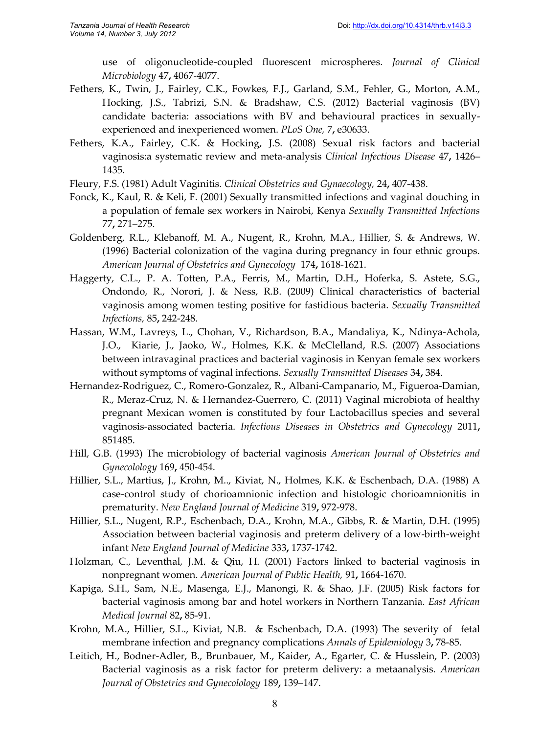use of oligonucleotide-coupled fluorescent microspheres. *Journal of Clinical Microbiology* 47**,** 4067-4077.

- Fethers, K., Twin, J., Fairley, C.K., Fowkes, F.J., Garland, S.M., Fehler, G., Morton, A.M., Hocking, J.S., Tabrizi, S.N. & Bradshaw, C.S. (2012) Bacterial vaginosis (BV) candidate bacteria: associations with BV and behavioural practices in sexuallyexperienced and inexperienced women. *PLoS One,* 7**,** e30633.
- Fethers, K.A., Fairley, C.K. & Hocking, J.S. (2008) Sexual risk factors and bacterial vaginosis:a systematic review and meta-analysis *Clinical Infectious Disease* 47**,** 1426– 1435.
- Fleury, F.S. (1981) Adult Vaginitis. *Clinical Obstetrics and Gynaecology,* 24**,** 407-438.
- Fonck, K., Kaul, R. & Keli, F. (2001) Sexually transmitted infections and vaginal douching in a population of female sex workers in Nairobi, Kenya *Sexually Transmitted Infections* 77**,** 271–275.
- Goldenberg, R.L., Klebanoff, M. A., Nugent, R., Krohn, M.A., Hillier, S. & Andrews, W. (1996) Bacterial colonization of the vagina during pregnancy in four ethnic groups. *American Journal of Obstetrics and Gynecology* 174**,** 1618-1621.
- Haggerty, C.L., P. A. Totten, P.A., Ferris, M., Martin, D.H., Hoferka, S. Astete, S.G., Ondondo, R., Norori, J. & Ness, R.B. (2009) Clinical characteristics of bacterial vaginosis among women testing positive for fastidious bacteria. *Sexually Transmitted Infections,* 85**,** 242-248.
- Hassan, W.M., Lavreys, L., Chohan, V., Richardson, B.A., Mandaliya, K., Ndinya-Achola, J.O., Kiarie, J., Jaoko, W., Holmes, K.K. & McClelland, R.S. (2007) Associations between intravaginal practices and bacterial vaginosis in Kenyan female sex workers without symptoms of vaginal infections. *Sexually Transmitted Diseases* 34**,** 384.
- Hernandez-Rodriguez, C., Romero-Gonzalez, R., Albani-Campanario, M., Figueroa-Damian, R., Meraz-Cruz, N. & Hernandez-Guerrero, C. (2011) Vaginal microbiota of healthy pregnant Mexican women is constituted by four Lactobacillus species and several vaginosis-associated bacteria. *Infectious Diseases in Obstetrics and Gynecology* 2011**,** 851485.
- Hill, G.B. (1993) The microbiology of bacterial vaginosis *American Journal of Obstetrics and Gynecolology* 169**,** 450-454.
- Hillier, S.L., Martius, J., Krohn, M.., Kiviat, N., Holmes, K.K. & Eschenbach, D.A. (1988) A case-control study of chorioamnionic infection and histologic chorioamnionitis in prematurity. *New England Journal of Medicine* 319**,** 972-978.
- Hillier, S.L., Nugent, R.P., Eschenbach, D.A., Krohn, M.A., Gibbs, R. & Martin, D.H. (1995) Association between bacterial vaginosis and preterm delivery of a low-birth-weight infant *New England Journal of Medicine* 333**,** 1737-1742.
- Holzman, C., Leventhal, J.M. & Qiu, H. (2001) Factors linked to bacterial vaginosis in nonpregnant women. *American Journal of Public Health,* 91**,** 1664-1670.
- Kapiga, S.H., Sam, N.E., Masenga, E.J., Manongi, R. & Shao, J.F. (2005) Risk factors for bacterial vaginosis among bar and hotel workers in Northern Tanzania. *East African Medical Journal* 82**,** 85-91.
- Krohn, M.A., Hillier, S.L., Kiviat, N.B. & Eschenbach, D.A. (1993) The severity of fetal membrane infection and pregnancy complications *Annals of Epidemiology* 3**,** 78-85.
- Leitich, H., Bodner-Adler, B., Brunbauer, M., Kaider, A., Egarter, C. & Husslein, P. (2003) Bacterial vaginosis as a risk factor for preterm delivery: a metaanalysis. *American Journal of Obstetrics and Gynecolology* 189**,** 139–147.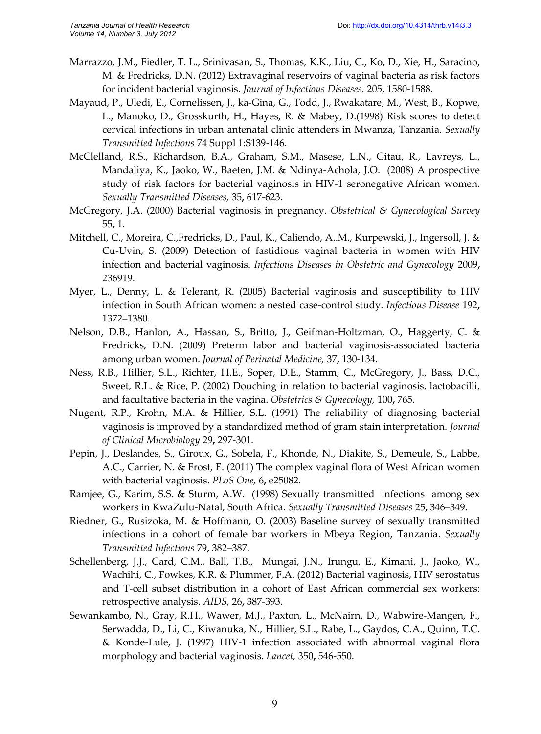- Marrazzo, J.M., Fiedler, T. L., Srinivasan, S., Thomas, K.K., Liu, C., Ko, D., Xie, H., Saracino, M. & Fredricks, D.N. (2012) Extravaginal reservoirs of vaginal bacteria as risk factors for incident bacterial vaginosis. *Journal of Infectious Diseases,* 205**,** 1580-1588.
- Mayaud, P., Uledi, E., Cornelissen, J., ka-Gina, G., Todd, J., Rwakatare, M., West, B., Kopwe, L., Manoko, D., Grosskurth, H., Hayes, R. & Mabey, D.(1998) Risk scores to detect cervical infections in urban antenatal clinic attenders in Mwanza, Tanzania. *Sexually Transmitted Infections* 74 Suppl 1:S139-146.
- McClelland, R.S., Richardson, B.A., Graham, S.M., Masese, L.N., Gitau, R., Lavreys, L., Mandaliya, K., Jaoko, W., Baeten, J.M. & Ndinya-Achola, J.O. (2008) A prospective study of risk factors for bacterial vaginosis in HIV-1 seronegative African women. *Sexually Transmitted Diseases,* 35**,** 617-623.
- McGregory, J.A. (2000) Bacterial vaginosis in pregnancy. *Obstetrical & Gynecological Survey* 55**,** 1.
- Mitchell, C., Moreira, C.,Fredricks, D., Paul, K., Caliendo, A..M., Kurpewski, J., Ingersoll, J. & Cu-Uvin, S. (2009) Detection of fastidious vaginal bacteria in women with HIV infection and bacterial vaginosis. *Infectious Diseases in Obstetric and Gynecology* 2009**,** 236919.
- Myer, L., Denny, L. & Telerant, R. (2005) Bacterial vaginosis and susceptibility to HIV infection in South African women: a nested case-control study. *Infectious Disease* 192**,** 1372–1380.
- Nelson, D.B., Hanlon, A., Hassan, S., Britto, J., Geifman-Holtzman, O., Haggerty, C. & Fredricks, D.N. (2009) Preterm labor and bacterial vaginosis-associated bacteria among urban women. *Journal of Perinatal Medicine,* 37**,** 130-134.
- Ness, R.B., Hillier, S.L., Richter, H.E., Soper, D.E., Stamm, C., McGregory, J., Bass, D.C., Sweet, R.L. & Rice, P. (2002) Douching in relation to bacterial vaginosis, lactobacilli, and facultative bacteria in the vagina. *Obstetrics & Gynecology,* 100**,** 765.
- Nugent, R.P., Krohn, M.A. & Hillier, S.L. (1991) The reliability of diagnosing bacterial vaginosis is improved by a standardized method of gram stain interpretation. *Journal of Clinical Microbiology* 29**,** 297-301.
- Pepin, J., Deslandes, S., Giroux, G., Sobela, F., Khonde, N., Diakite, S., Demeule, S., Labbe, A.C., Carrier, N. & Frost, E. (2011) The complex vaginal flora of West African women with bacterial vaginosis. *PLoS One,* 6**,** e25082.
- Ramjee, G., Karim, S.S. & Sturm, A.W. (1998) Sexually transmitted infections among sex workers in KwaZulu-Natal, South Africa. *Sexually Transmitted Diseases* 25**,** 346–349.
- Riedner, G., Rusizoka, M. & Hoffmann, O. (2003) Baseline survey of sexually transmitted infections in a cohort of female bar workers in Mbeya Region, Tanzania. *Sexually Transmitted Infections* 79**,** 382–387.
- Schellenberg, J.J., Card, C.M., Ball, T.B., Mungai, J.N., Irungu, E., Kimani, J., Jaoko, W., Wachihi, C., Fowkes, K.R. & Plummer, F.A. (2012) Bacterial vaginosis, HIV serostatus and T-cell subset distribution in a cohort of East African commercial sex workers: retrospective analysis. *AIDS,* 26**,** 387-393.
- Sewankambo, N., Gray, R.H., Wawer, M.J., Paxton, L., McNairn, D., Wabwire-Mangen, F., Serwadda, D., Li, C., Kiwanuka, N., Hillier, S.L., Rabe, L., Gaydos, C.A., Quinn, T.C. & Konde-Lule, J. (1997) HIV-1 infection associated with abnormal vaginal flora morphology and bacterial vaginosis. *Lancet,* 350**,** 546-550.